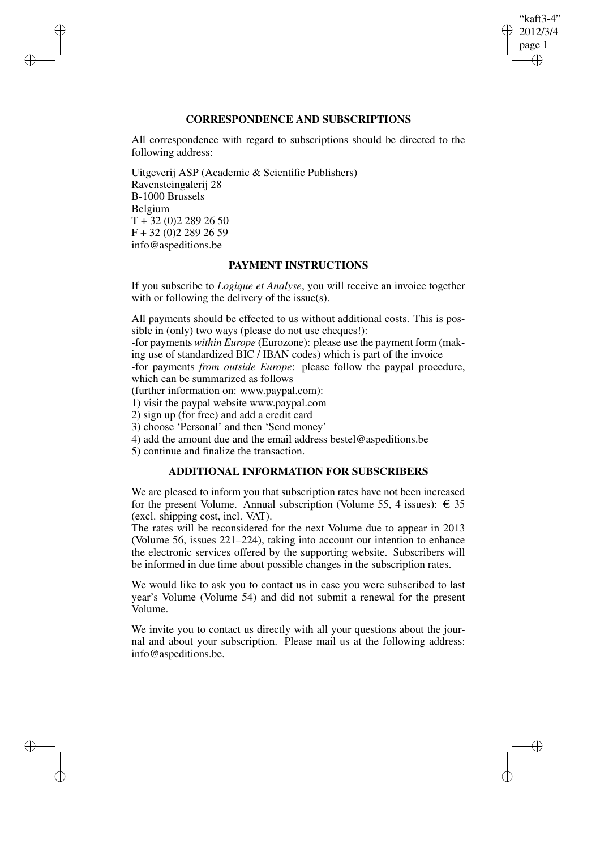## "kaft3-4" 2012/3/4 page 1 ✐ ✐

✐

✐

## **CORRESPONDENCE AND SUBSCRIPTIONS**

All correspondence with regard to subscriptions should be directed to the following address:

Uitgeverij ASP (Academic & Scientific Publishers) Ravensteingalerij 28 B-1000 Brussels Belgium  $T + 32 (0)2 289 26 50$ F + 32 (0)2 289 26 59 info@aspeditions.be

✐

✐

✐

✐

## **PAYMENT INSTRUCTIONS**

If you subscribe to *Logique et Analyse*, you will receive an invoice together with or following the delivery of the issue(s).

All payments should be effected to us without additional costs. This is possible in (only) two ways (please do not use cheques!):

-for payments *within Europe* (Eurozone): please use the payment form (making use of standardized BIC / IBAN codes) which is part of the invoice

-for payments *from outside Europe*: please follow the paypal procedure, which can be summarized as follows

(further information on: www.paypal.com):

1) visit the paypal website www.paypal.com

2) sign up (for free) and add a credit card

3) choose 'Personal' and then 'Send money'

4) add the amount due and the email address bestel@aspeditions.be

5) continue and finalize the transaction.

# **ADDITIONAL INFORMATION FOR SUBSCRIBERS**

We are pleased to inform you that subscription rates have not been increased for the present Volume. Annual subscription (Volume 55, 4 issues):  $\epsilon$  35 (excl. shipping cost, incl. VAT).

The rates will be reconsidered for the next Volume due to appear in 2013 (Volume 56, issues 221–224), taking into account our intention to enhance the electronic services offered by the supporting website. Subscribers will be informed in due time about possible changes in the subscription rates.

We would like to ask you to contact us in case you were subscribed to last year's Volume (Volume 54) and did not submit a renewal for the present Volume.

We invite you to contact us directly with all your questions about the journal and about your subscription. Please mail us at the following address: info@aspeditions.be.